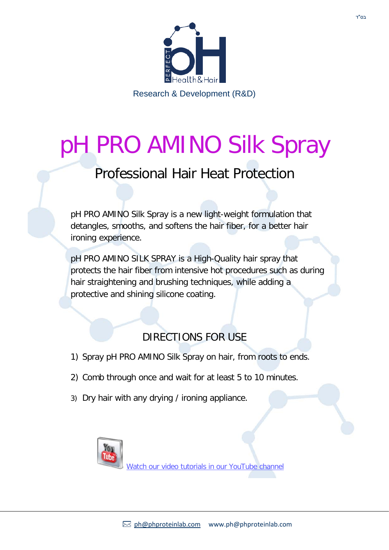

## pH PRO AMINO Silk Spray

## Professional Hair Heat Protection

pH PRO AMINO Silk Spray is a new light-weight formulation that detangles, smooths, and softens the hair fiber, for a better hair ironing experience.

pH PRO AMINO SILK SPRAY is a High-Quality hair spray that protects the hair fiber from intensive hot procedures such as during hair straightening and brushing techniques, while adding a protective and shining silicone coating.

## DIRECTIONS FOR USE

- 1) Spray pH PRO AMINO Silk Spray on hair, from roots to ends.
- 2) Comb through once and wait for at least 5 to 10 minutes.
- 3) Dry hair with any drying / ironing appliance.



[Watch our video tutorials in our YouTube channel](https://www.youtube.com/channel/UCUfIyYvw22AVYpHPGDOubWg)